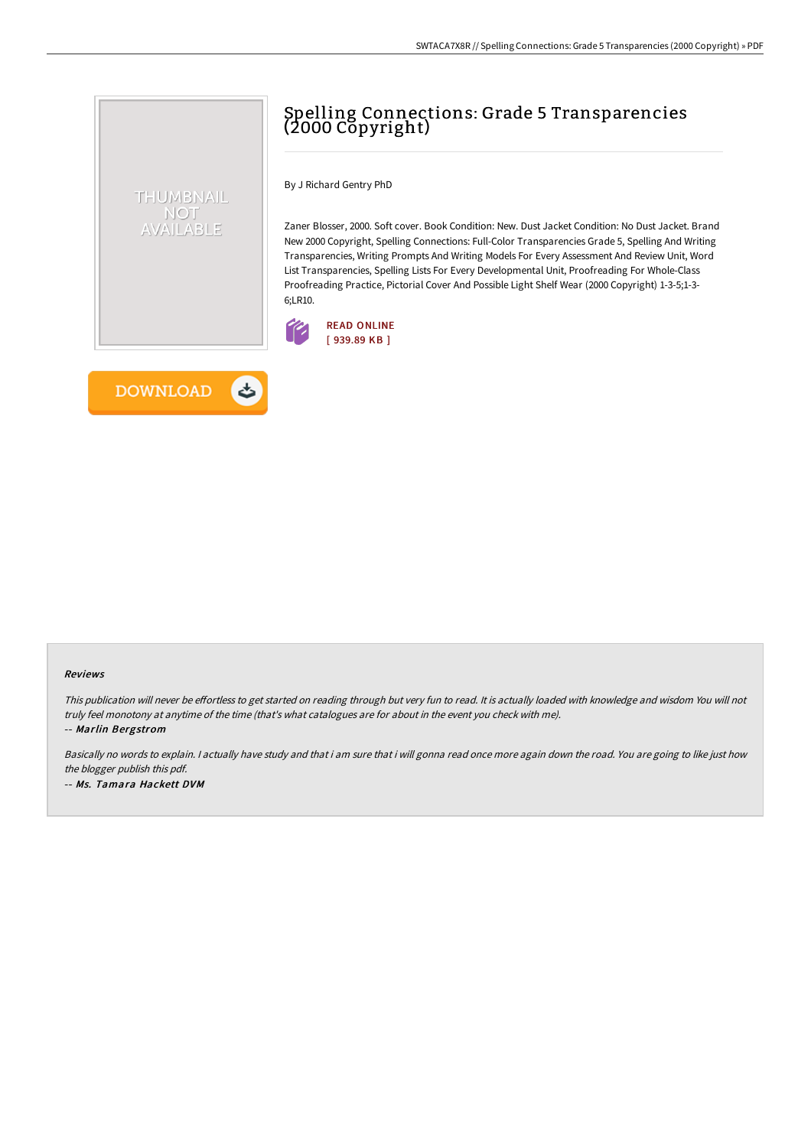# Spelling Connections: Grade 5 Transparencies (2000 Copyright)

By J Richard Gentry PhD

Zaner Blosser, 2000. Soft cover. Book Condition: New. Dust Jacket Condition: No Dust Jacket. Brand New 2000 Copyright, Spelling Connections: Full-Color Transparencies Grade 5, Spelling And Writing Transparencies, Writing Prompts And Writing Models For Every Assessment And Review Unit, Word List Transparencies, Spelling Lists For Every Developmental Unit, Proofreading For Whole-Class Proofreading Practice, Pictorial Cover And Possible Light Shelf Wear (2000 Copyright) 1-3-5;1-3- 6;LR10.





THUMBNAIL NOT AVAILABLE

#### Reviews

This publication will never be effortless to get started on reading through but very fun to read. It is actually loaded with knowledge and wisdom You will not truly feel monotony at anytime of the time (that's what catalogues are for about in the event you check with me).

-- Marlin Bergstrom

Basically no words to explain. I actually have study and that i am sure that i will gonna read once more again down the road. You are going to like just how the blogger publish this pdf. -- Ms. Tamara Hackett DVM